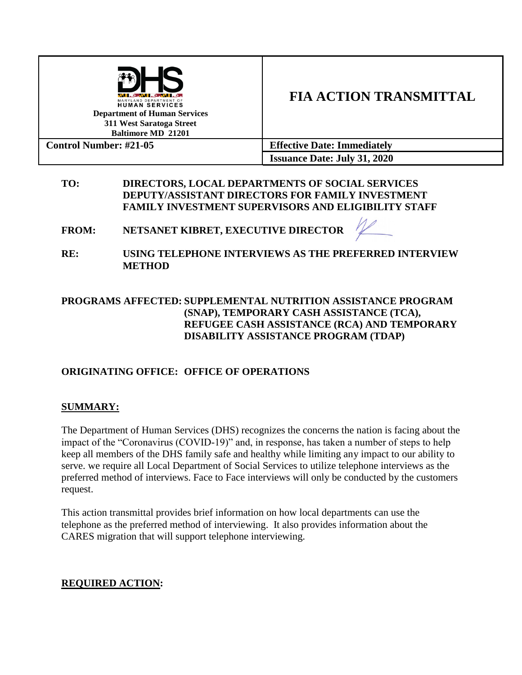| 4. AN. L. 4. AN. L. 4.<br>MARYLAND DEPARTMENT OF<br><b>HUMAN SERVICES</b><br><b>Department of Human Services</b><br>311 West Saratoga Street<br><b>Baltimore MD 21201</b> | <b>FIA ACTION TRANSMITTAL</b>       |  |
|---------------------------------------------------------------------------------------------------------------------------------------------------------------------------|-------------------------------------|--|
| <b>Control Number: #21-05</b>                                                                                                                                             | <b>Effective Date: Immediately</b>  |  |
|                                                                                                                                                                           | <b>Issuance Date: July 31, 2020</b> |  |

## **TO: DIRECTORS, LOCAL DEPARTMENTS OF SOCIAL SERVICES DEPUTY/ASSISTANT DIRECTORS FOR FAMILY INVESTMENT FAMILY INVESTMENT SUPERVISORS AND ELIGIBILITY STAFF**

**FROM: NETSANET KIBRET, EXECUTIVE DIRECTOR** 

**RE: USING TELEPHONE INTERVIEWS AS THE PREFERRED INTERVIEW METHOD**

# **PROGRAMS AFFECTED: SUPPLEMENTAL NUTRITION ASSISTANCE PROGRAM (SNAP), TEMPORARY CASH ASSISTANCE (TCA), REFUGEE CASH ASSISTANCE (RCA) AND TEMPORARY DISABILITY ASSISTANCE PROGRAM (TDAP)**

# **ORIGINATING OFFICE: OFFICE OF OPERATIONS**

## **SUMMARY:**

The Department of Human Services (DHS) recognizes the concerns the nation is facing about the impact of the "Coronavirus (COVID-19)" and, in response, has taken a number of steps to help keep all members of the DHS family safe and healthy while limiting any impact to our ability to serve. we require all Local Department of Social Services to utilize telephone interviews as the preferred method of interviews. Face to Face interviews will only be conducted by the customers request.

This action transmittal provides brief information on how local departments can use the telephone as the preferred method of interviewing. It also provides information about the CARES migration that will support telephone interviewing.

## **REQUIRED ACTION:**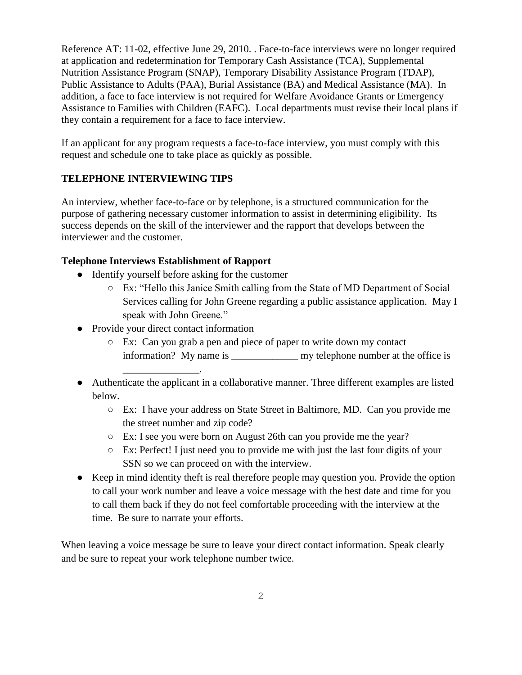Reference AT: 11-02, effective June 29, 2010. . Face-to-face interviews were no longer required at application and redetermination for Temporary Cash Assistance (TCA), Supplemental Nutrition Assistance Program (SNAP), Temporary Disability Assistance Program (TDAP), Public Assistance to Adults (PAA), Burial Assistance (BA) and Medical Assistance (MA). In addition, a face to face interview is not required for Welfare Avoidance Grants or Emergency Assistance to Families with Children (EAFC). Local departments must revise their local plans if they contain a requirement for a face to face interview.

If an applicant for any program requests a face-to-face interview, you must comply with this request and schedule one to take place as quickly as possible.

## **TELEPHONE INTERVIEWING TIPS**

An interview, whether face-to-face or by telephone, is a structured communication for the purpose of gathering necessary customer information to assist in determining eligibility.Its success depends on the skill of the interviewer and the rapport that develops between the interviewer and the customer.

#### **Telephone Interviews Establishment of Rapport**

- Identify yourself before asking for the customer
	- Ex: "Hello this Janice Smith calling from the State of MD Department of Social Services calling for John Greene regarding a public assistance application. May I speak with John Greene."
- Provide your direct contact information

\_\_\_\_\_\_\_\_\_\_\_\_\_\_\_.

- Ex: Can you grab a pen and piece of paper to write down my contact information? My name is \_\_\_\_\_\_\_\_\_\_\_\_\_ my telephone number at the office is
- Authenticate the applicant in a collaborative manner. Three different examples are listed below.
	- Ex: I have your address on State Street in Baltimore, MD. Can you provide me the street number and zip code?
	- Ex: I see you were born on August 26th can you provide me the year?
	- Ex: Perfect! I just need you to provide me with just the last four digits of your SSN so we can proceed on with the interview.
- Keep in mind identity theft is real therefore people may question you. Provide the option to call your work number and leave a voice message with the best date and time for you to call them back if they do not feel comfortable proceeding with the interview at the time. Be sure to narrate your efforts.

When leaving a voice message be sure to leave your direct contact information. Speak clearly and be sure to repeat your work telephone number twice.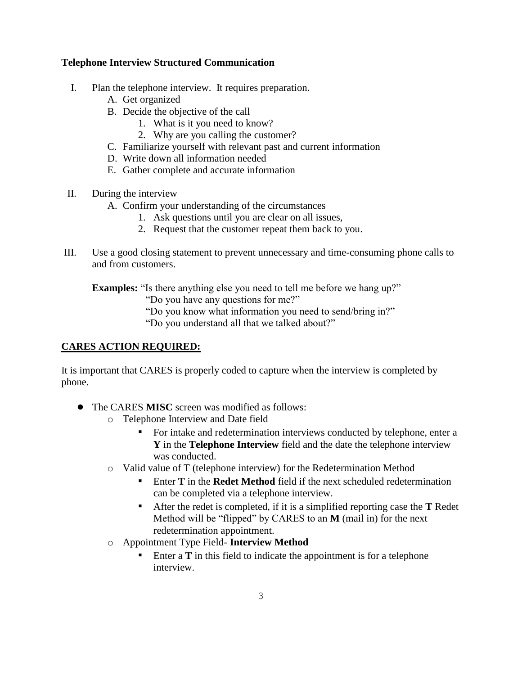#### **Telephone Interview Structured Communication**

- I. Plan the telephone interview. It requires preparation.
	- A. Get organized
	- B. Decide the objective of the call
		- 1. What is it you need to know?
		- 2. Why are you calling the customer?
	- C. Familiarize yourself with relevant past and current information
	- D. Write down all information needed
	- E. Gather complete and accurate information
- II. During the interview
	- A. Confirm your understanding of the circumstances
		- 1. Ask questions until you are clear on all issues,
		- 2. Request that the customer repeat them back to you.
- III. Use a good closing statement to prevent unnecessary and time-consuming phone calls to and from customers.

**Examples:** "Is there anything else you need to tell me before we hang up?"

- "Do you have any questions for me?"
- "Do you know what information you need to send/bring in?"

"Do you understand all that we talked about?"

## **CARES ACTION REQUIRED:**

It is important that CARES is properly coded to capture when the interview is completed by phone.

- The CARES **MISC** screen was modified as follows:
	- o Telephone Interview and Date field
		- For intake and redetermination interviews conducted by telephone, enter a **Y** in the **Telephone Interview** field and the date the telephone interview was conducted.
	- o Valid value of T (telephone interview) for the Redetermination Method
		- **Enter T** in the **Redet Method** field if the next scheduled redetermination can be completed via a telephone interview.
		- After the redet is completed, if it is a simplified reporting case the **T** Redet Method will be "flipped" by CARES to an **M** (mail in) for the next redetermination appointment.
	- o Appointment Type Field- **Interview Method**
		- Enter a  $T$  in this field to indicate the appointment is for a telephone interview.